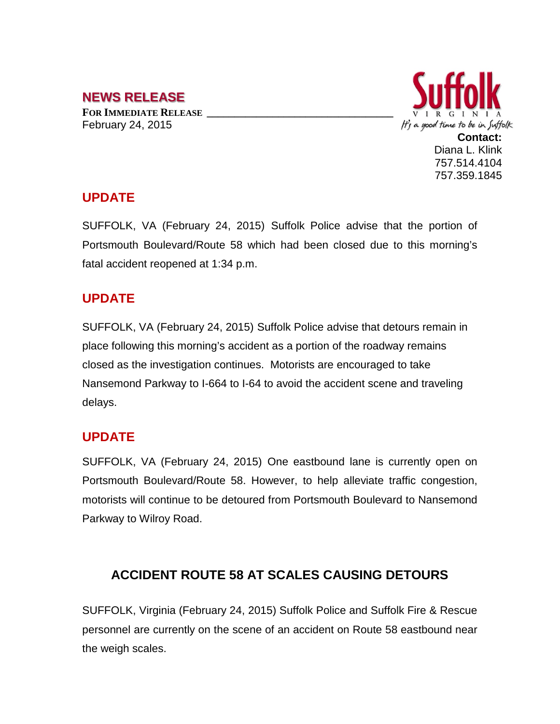# **NEWS RELEASE**

**FOR IMMEDIATE RELEASE \_\_\_\_\_\_\_\_\_\_\_\_\_\_\_\_\_\_\_\_\_\_\_\_\_\_\_\_\_\_\_\_\_\_** February 24, 2015



### **UPDATE**

SUFFOLK, VA (February 24, 2015) Suffolk Police advise that the portion of Portsmouth Boulevard/Route 58 which had been closed due to this morning's fatal accident reopened at 1:34 p.m.

## **UPDATE**

SUFFOLK, VA (February 24, 2015) Suffolk Police advise that detours remain in place following this morning's accident as a portion of the roadway remains closed as the investigation continues. Motorists are encouraged to take Nansemond Parkway to I-664 to I-64 to avoid the accident scene and traveling delays.

### **UPDATE**

SUFFOLK, VA (February 24, 2015) One eastbound lane is currently open on Portsmouth Boulevard/Route 58. However, to help alleviate traffic congestion, motorists will continue to be detoured from Portsmouth Boulevard to Nansemond Parkway to Wilroy Road.

## **ACCIDENT ROUTE 58 AT SCALES CAUSING DETOURS**

SUFFOLK, Virginia (February 24, 2015) Suffolk Police and Suffolk Fire & Rescue personnel are currently on the scene of an accident on Route 58 eastbound near the weigh scales.